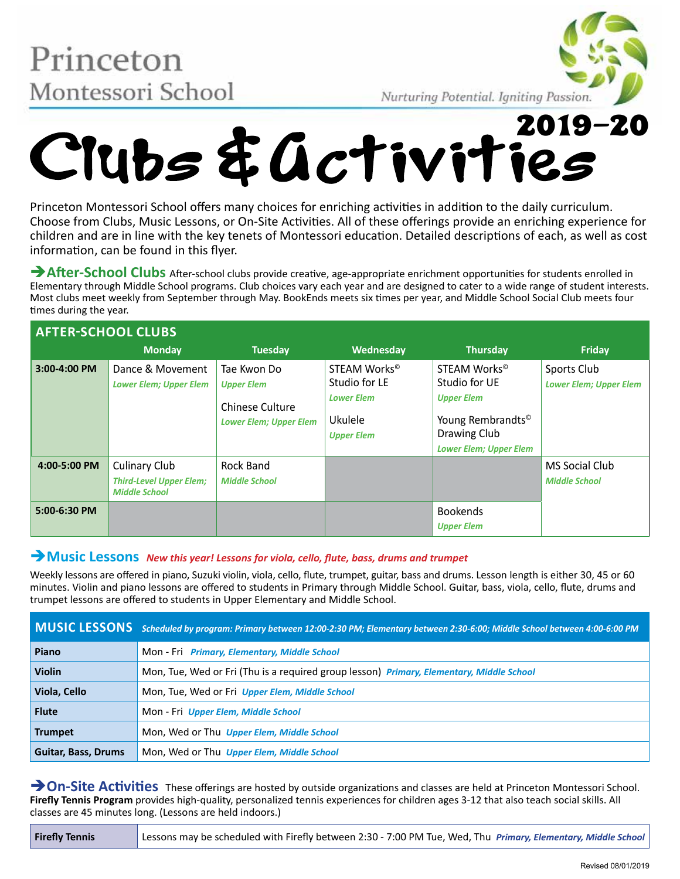Princeton Montessori School



# MONTESSOFI SCHOOL Nurturing Potential. Igniting Passion.

Princeton Montessori School offers many choices for enriching activities in addition to the daily curriculum. Choose from Clubs, Music Lessons, or On-Site Activities. All of these offerings provide an enriching experience for children and are in line with the key tenets of Montessori education. Detailed descriptions of each, as well as cost information, can be found in this flyer.

**After-School Clubs** After-school clubs provide creative, age-appropriate enrichment opportunities for students enrolled in Elementary through Middle School programs. Club choices vary each year and are designed to cater to a wide range of student interests. Most clubs meet weekly from September through May. BookEnds meets six times per year, and Middle School Social Club meets four times during the year.

| <b>AFTER-SCHOOL CLUBS</b> |                                                                                |                                                                                             |                                                                                                |                                                                                                                                                  |                                              |  |  |
|---------------------------|--------------------------------------------------------------------------------|---------------------------------------------------------------------------------------------|------------------------------------------------------------------------------------------------|--------------------------------------------------------------------------------------------------------------------------------------------------|----------------------------------------------|--|--|
|                           | <b>Monday</b>                                                                  | <b>Tuesday</b>                                                                              | Wednesday                                                                                      | <b>Thursday</b>                                                                                                                                  | Friday                                       |  |  |
| 3:00-4:00 PM              | Dance & Movement<br><b>Lower Elem; Upper Elem</b>                              | Tae Kwon Do<br><b>Upper Elem</b><br><b>Chinese Culture</b><br><b>Lower Elem; Upper Elem</b> | STEAM Works <sup>®</sup><br>Studio for LE<br><b>Lower Elem</b><br>Ukulele<br><b>Upper Elem</b> | STEAM Works <sup>®</sup><br>Studio for UE<br><b>Upper Elem</b><br>Young Rembrandts <sup>®</sup><br>Drawing Club<br><b>Lower Elem; Upper Elem</b> | Sports Club<br><b>Lower Elem; Upper Elem</b> |  |  |
| 4:00-5:00 PM              | <b>Culinary Club</b><br><b>Third-Level Upper Elem;</b><br><b>Middle School</b> | Rock Band<br><b>Middle School</b>                                                           |                                                                                                |                                                                                                                                                  | MS Social Club<br><b>Middle School</b>       |  |  |
| 5:00-6:30 PM              |                                                                                |                                                                                             |                                                                                                | <b>Bookends</b><br><b>Upper Elem</b>                                                                                                             |                                              |  |  |

## è**Music Lessons** *New this year! Lessons for viola, cello, flute, bass, drums and trumpet*

Weekly lessons are offered in piano, Suzuki violin, viola, cello, flute, trumpet, guitar, bass and drums. Lesson length is either 30, 45 or 60 minutes. Violin and piano lessons are offered to students in Primary through Middle School. Guitar, bass, viola, cello, flute, drums and trumpet lessons are offered to students in Upper Elementary and Middle School.

|                     | MUSIC LESSONS Scheduled by program: Primary between 12:00-2:30 PM; Elementary between 2:30-6:00; Middle School between 4:00-6:00 PM |
|---------------------|-------------------------------------------------------------------------------------------------------------------------------------|
| Piano               | Mon - Fri Primary, Elementary, Middle School                                                                                        |
| <b>Violin</b>       | Mon, Tue, Wed or Fri (Thu is a required group lesson) Primary, Elementary, Middle School                                            |
| Viola, Cello        | Mon, Tue, Wed or Fri Upper Elem, Middle School                                                                                      |
| <b>Flute</b>        | Mon - Fri Upper Elem, Middle School                                                                                                 |
| <b>Trumpet</b>      | Mon, Wed or Thu Upper Elem, Middle School                                                                                           |
| Guitar, Bass, Drums | Mon, Wed or Thu Upper Elem, Middle School                                                                                           |

**→ On-Site Activities** These offerings are hosted by outside organizations and classes are held at Princeton Montessori School. **Firefly Tennis Program** provides high-quality, personalized tennis experiences for children ages 3-12 that also teach social skills. All classes are 45 minutes long. (Lessons are held indoors.)

|  | <b>Firefly Tennis</b> | Lessons may be scheduled with Firefly between 2:30 - 7:00 PM Tue, Wed, Thu Primary, Elementary, Middle School |
|--|-----------------------|---------------------------------------------------------------------------------------------------------------|
|--|-----------------------|---------------------------------------------------------------------------------------------------------------|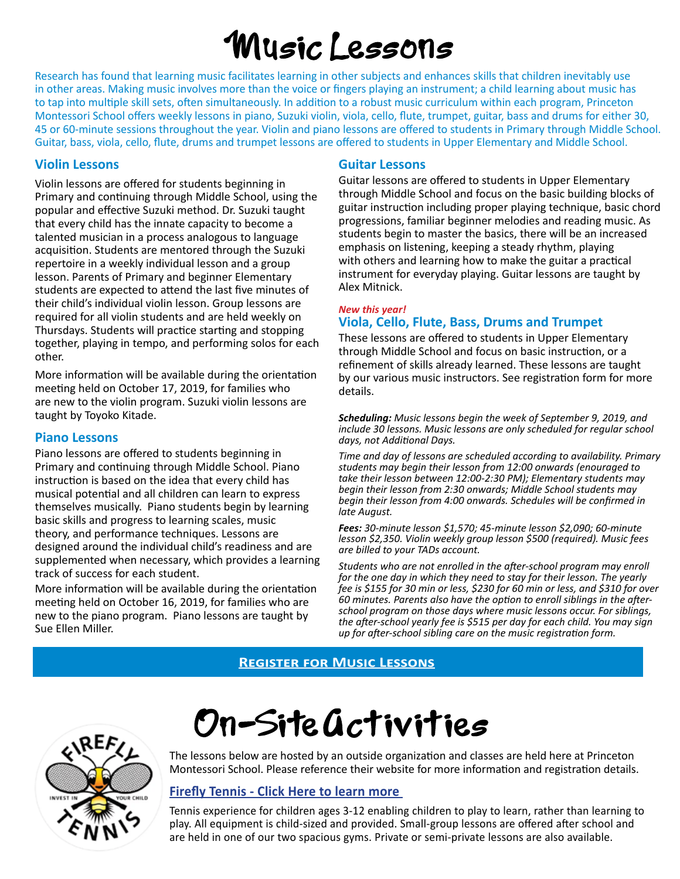# 'Music Lessons

Research has found that learning music facilitates learning in other subjects and enhances skills that children inevitably use in other areas. Making music involves more than the voice or fingers playing an instrument; a child learning about music has to tap into multiple skill sets, often simultaneously. In addition to a robust music curriculum within each program, Princeton Montessori School offers weekly lessons in piano, Suzuki violin, viola, cello, flute, trumpet, guitar, bass and drums for either 30, 45 or 60-minute sessions throughout the year. Violin and piano lessons are offered to students in Primary through Middle School. Guitar, bass, viola, cello, flute, drums and trumpet lessons are offered to students in Upper Elementary and Middle School.

## **Violin Lessons**

Violin lessons are offered for students beginning in Primary and continuing through Middle School, using the popular and effective Suzuki method. Dr. Suzuki taught that every child has the innate capacity to become a talented musician in a process analogous to language acquisition. Students are mentored through the Suzuki repertoire in a weekly individual lesson and a group lesson. Parents of Primary and beginner Elementary students are expected to attend the last five minutes of their child's individual violin lesson. Group lessons are required for all violin students and are held weekly on Thursdays. Students will practice starting and stopping together, playing in tempo, and performing solos for each other.

More information will be available during the orientation meeting held on October 17, 2019, for families who are new to the violin program. Suzuki violin lessons are taught by Toyoko Kitade.

## **Piano Lessons**

Piano lessons are offered to students beginning in Primary and continuing through Middle School. Piano instruction is based on the idea that every child has musical potential and all children can learn to express themselves musically. Piano students begin by learning basic skills and progress to learning scales, music theory, and performance techniques. Lessons are designed around the individual child's readiness and are supplemented when necessary, which provides a learning track of success for each student.

More information will be available during the orientation meeting held on October 16, 2019, for families who are new to the piano program. Piano lessons are taught by Sue Ellen Miller.

## **Guitar Lessons**

Guitar lessons are offered to students in Upper Elementary through Middle School and focus on the basic building blocks of guitar instruction including proper playing technique, basic chord progressions, familiar beginner melodies and reading music. As students begin to master the basics, there will be an increased emphasis on listening, keeping a steady rhythm, playing with others and learning how to make the guitar a practical instrument for everyday playing. Guitar lessons are taught by Alex Mitnick.

#### *New this year!*  **Viola, Cello, Flute, Bass, Drums and Trumpet**

These lessons are offered to students in Upper Elementary through Middle School and focus on basic instruction, or a refinement of skills already learned. These lessons are taught by our various music instructors. See registration form for more details.

*Scheduling: Music lessons begin the week of September 9, 2019, and include 30 lessons. Music lessons are only scheduled for regular school days, not Additional Days.* 

*Time and day of lessons are scheduled according to availability. Primary students may begin their lesson from 12:00 onwards (enouraged to take their lesson between 12:00-2:30 PM); Elementary students may begin their lesson from 2:30 onwards; Middle School students may begin their lesson from 4:00 onwards. Schedules will be confirmed in late August.*

*Fees: 30-minute lesson \$1,570; 45-minute lesson \$2,090; 60-minute lesson \$2,350. Violin weekly group lesson \$500 (required). Music fees are billed to your TADs account.*

*Students who are not enrolled in the after-school program may enroll for the one day in which they need to stay for their lesson. The yearly fee is \$155 for 30 min or less, \$230 for 60 min or less, and \$310 for over 60 minutes. Parents also have the option to enroll siblings in the afterschool program on those days where music lessons occur. For siblings, the after-school yearly fee is \$515 per day for each child. You may sign up for after-school sibling care on the music registration form.*

# **Register for Music Lessons**



# On-Site Gctivities

The lessons below are hosted by an outside organization and classes are held here at Princeton Montessori School. Please reference their website for more information and registration details.

# **Firefly Tennis - Click Here to learn more**

Tennis experience for children ages 3-12 enabling children to play to learn, rather than learning to play. All equipment is child-sized and provided. Small-group lessons are offered after school and are held in one of our two spacious gyms. Private or semi-private lessons are also available.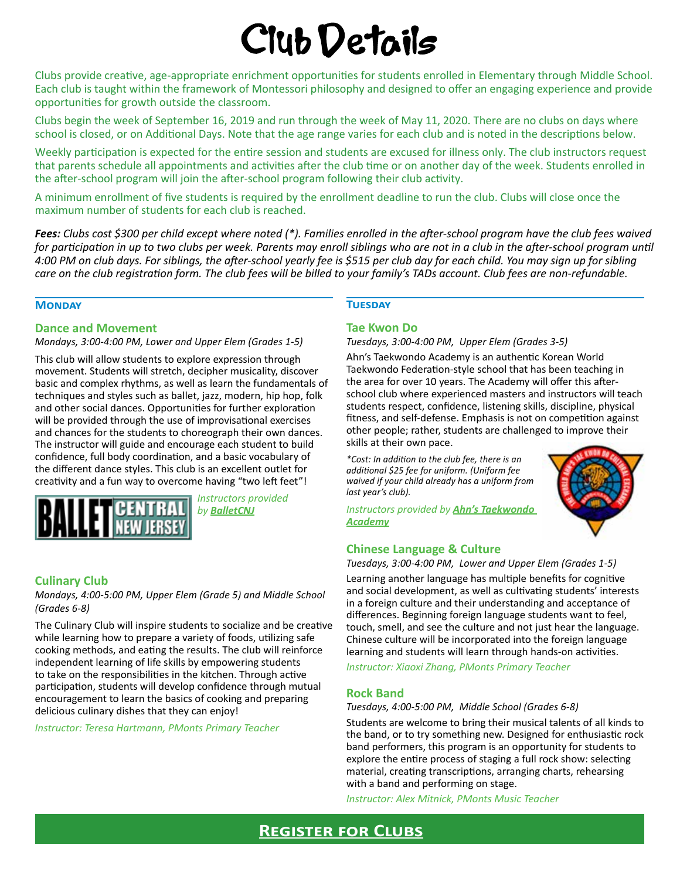# Club Details

Clubs provide creative, age-appropriate enrichment opportunities for students enrolled in Elementary through Middle School. Each club is taught within the framework of Montessori philosophy and designed to offer an engaging experience and provide opportunities for growth outside the classroom.

Clubs begin the week of September 16, 2019 and run through the week of May 11, 2020. There are no clubs on days where school is closed, or on Additional Days. Note that the age range varies for each club and is noted in the descriptions below.

Weekly participation is expected for the entire session and students are excused for illness only. The club instructors request that parents schedule all appointments and activities after the club time or on another day of the week. Students enrolled in the after-school program will join the after-school program following their club activity.

A minimum enrollment of five students is required by the enrollment deadline to run the club. Clubs will close once the maximum number of students for each club is reached.

*Fees: Clubs cost \$300 per child except where noted (\*). Families enrolled in the after-school program have the club fees waived for participation in up to two clubs per week. Parents may enroll siblings who are not in a club in the after-school program until 4:00 PM on club days. For siblings, the after-school yearly fee is \$515 per club day for each child. You may sign up for sibling care on the club registration form. The club fees will be billed to your family's TADs account. Club fees are non-refundable.* 

#### **Monday**

#### **Dance and Movement**

*Mondays, 3:00-4:00 PM, Lower and Upper Elem (Grades 1-5)* 

This club will allow students to explore expression through movement. Students will stretch, decipher musicality, discover basic and complex rhythms, as well as learn the fundamentals of techniques and styles such as ballet, jazz, modern, hip hop, folk and other social dances. Opportunities for further exploration will be provided through the use of improvisational exercises and chances for the students to choreograph their own dances. The instructor will guide and encourage each student to build confidence, full body coordination, and a basic vocabulary of the different dance styles. This club is an excellent outlet for creativity and a fun way to overcome having "two left feet"!



*Instructors provided by BalletCNJ*

#### **Culinary Club**

*Mondays, 4:00-5:00 PM, Upper Elem (Grade 5) and Middle School (Grades 6-8)*

The Culinary Club will inspire students to socialize and be creative while learning how to prepare a variety of foods, utilizing safe cooking methods, and eating the results. The club will reinforce independent learning of life skills by empowering students to take on the responsibilities in the kitchen. Through active participation, students will develop confidence through mutual encouragement to learn the basics of cooking and preparing delicious culinary dishes that they can enjoy!

*Instructor: Teresa Hartmann, PMonts Primary Teacher*

#### **Tuesday**

#### **Tae Kwon Do**

#### *Tuesdays, 3:00-4:00 PM, Upper Elem (Grades 3-5)*

Ahn's Taekwondo Academy is an authentic Korean World Taekwondo Federation-style school that has been teaching in the area for over 10 years. The Academy will offer this afterschool club where experienced masters and instructors will teach students respect, confidence, listening skills, discipline, physical fitness, and self-defense. Emphasis is not on competition against other people; rather, students are challenged to improve their skills at their own pace.

*\*Cost: In addition to the club fee, there is an additional \$25 fee for uniform. (Uniform fee waived if your child already has a uniform from last year's club).*

*Instructors provided by Ahn's Taekwondo Academy*

#### **Chinese Language & Culture**

*Tuesdays, 3:00-4:00 PM, Lower and Upper Elem (Grades 1-5)*

Learning another language has multiple benefits for cognitive and social development, as well as cultivating students' interests in a foreign culture and their understanding and acceptance of differences. Beginning foreign language students want to feel, touch, smell, and see the culture and not just hear the language. Chinese culture will be incorporated into the foreign language learning and students will learn through hands-on activities.

*Instructor: Xiaoxi Zhang, PMonts Primary Teacher* 

#### **Rock Band**

#### *Tuesdays, 4:00-5:00 PM, Middle School (Grades 6-8)*

Students are welcome to bring their musical talents of all kinds to the band, or to try something new. Designed for enthusiastic rock band performers, this program is an opportunity for students to explore the entire process of staging a full rock show: selecting material, creating transcriptions, arranging charts, rehearsing with a band and performing on stage.

*Instructor: Alex Mitnick, PMonts Music Teacher* 

# **Register for Clubs**